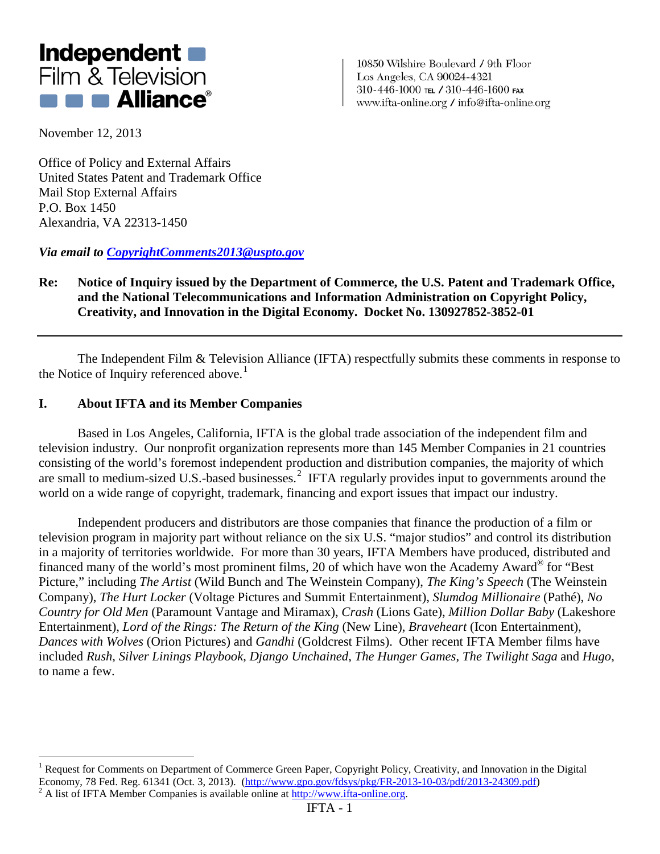

10850 Wilshire Boulevard / 9th Floor Los Angeles, CA 90024-4321 310-446-1000 тец / 310-446-1600 гах www.ifta-online.org / info@ifta-online.org

November 12, 2013

 $\overline{a}$ 

Office of Policy and External Affairs United States Patent and Trademark Office Mail Stop External Affairs P.O. Box 1450 Alexandria, VA 22313-1450

*Via email to [CopyrightComments2013@uspto.gov](mailto:CopyrightComments2013@uspto.gov)*

# **Re: Notice of Inquiry issued by the Department of Commerce, the U.S. Patent and Trademark Office, and the National Telecommunications and Information Administration on Copyright Policy, Creativity, and Innovation in the Digital Economy. Docket No. 130927852-3852-01**

The Independent Film & Television Alliance (IFTA) respectfully submits these comments in response to the Notice of Inquiry referenced above.<sup>[1](#page-0-0)</sup>

### **I. About IFTA and its Member Companies**

Based in Los Angeles, California, IFTA is the global trade association of the independent film and television industry. Our nonprofit organization represents more than 145 Member Companies in 21 countries consisting of the world's foremost independent production and distribution companies, the majority of which are small to medium-sized U.S.-based businesses.<sup>[2](#page-0-1)</sup> IFTA regularly provides input to governments around the world on a wide range of copyright, trademark, financing and export issues that impact our industry.

Independent producers and distributors are those companies that finance the production of a film or television program in majority part without reliance on the six U.S. "major studios" and control its distribution in a majority of territories worldwide. For more than 30 years, IFTA Members have produced, distributed and financed many of the world's most prominent films, 20 of which have won the Academy Award® for "Best Picture," including *The Artist* (Wild Bunch and The Weinstein Company), *The King's Speech* (The Weinstein Company), *The Hurt Locker* (Voltage Pictures and Summit Entertainment), *Slumdog Millionaire* (Pathé), *No Country for Old Men* (Paramount Vantage and Miramax), *Crash* (Lions Gate), *Million Dollar Baby* (Lakeshore Entertainment), *Lord of the Rings: The Return of the King* (New Line), *Braveheart* (Icon Entertainment), *Dances with Wolves* (Orion Pictures) and *Gandhi* (Goldcrest Films). Other recent IFTA Member films have included *Rush*, *Silver Linings Playbook*, *Django Unchained*, *The Hunger Games*, *The Twilight Saga* and *Hugo*, to name a few.

<span id="page-0-1"></span><span id="page-0-0"></span><sup>&</sup>lt;sup>1</sup> Request for Comments on Department of Commerce Green Paper, Copyright Policy, Creativity, and Innovation in the Digital Economy, 78 Fed. Reg. 61341 (Oct. 3, 2013). [\(http://www.gpo.gov/fdsys/pkg/FR-2013-10-03/pdf/2013-24309.pdf\)](http://www.gpo.gov/fdsys/pkg/FR-2013-10-03/pdf/2013-24309.pdf)<br><sup>2</sup> A list of IFTA Member Companies is available online at [http://www.ifta-online.org.](http://www.ifta-online.org/)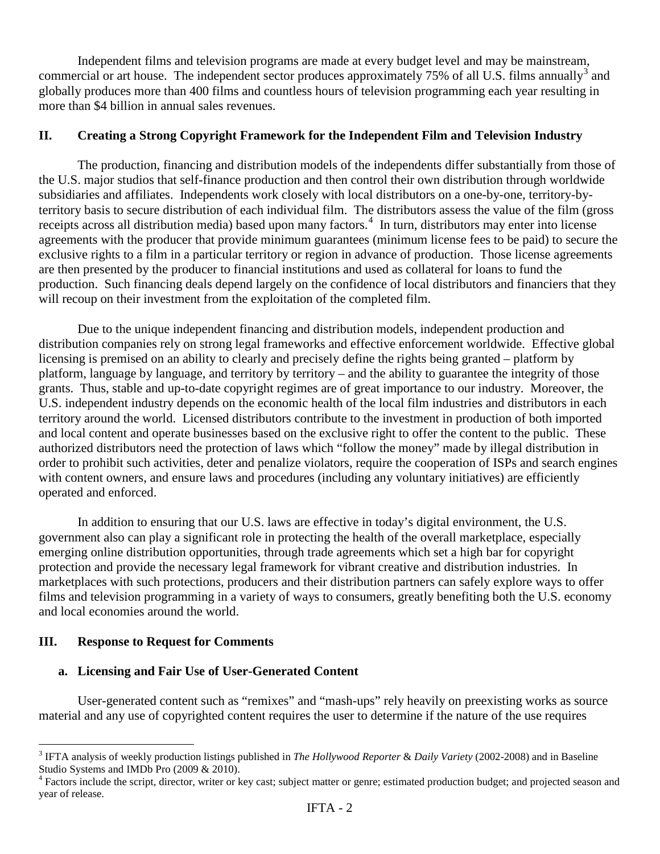Independent films and television programs are made at every budget level and may be mainstream, commercial or art house. The independent sector produces approximately  $75\%$  of all U.S. films annually<sup>[3](#page-1-0)</sup> and globally produces more than 400 films and countless hours of television programming each year resulting in more than \$4 billion in annual sales revenues.

# **II. Creating a Strong Copyright Framework for the Independent Film and Television Industry**

The production, financing and distribution models of the independents differ substantially from those of the U.S. major studios that self-finance production and then control their own distribution through worldwide subsidiaries and affiliates. Independents work closely with local distributors on a one-by-one, territory-byterritory basis to secure distribution of each individual film. The distributors assess the value of the film (gross receipts across all distribution media) based upon many factors.<sup>[4](#page-1-1)</sup> In turn, distributors may enter into license agreements with the producer that provide minimum guarantees (minimum license fees to be paid) to secure the exclusive rights to a film in a particular territory or region in advance of production. Those license agreements are then presented by the producer to financial institutions and used as collateral for loans to fund the production. Such financing deals depend largely on the confidence of local distributors and financiers that they will recoup on their investment from the exploitation of the completed film.

Due to the unique independent financing and distribution models, independent production and distribution companies rely on strong legal frameworks and effective enforcement worldwide. Effective global licensing is premised on an ability to clearly and precisely define the rights being granted – platform by platform, language by language, and territory by territory – and the ability to guarantee the integrity of those grants. Thus, stable and up-to-date copyright regimes are of great importance to our industry. Moreover, the U.S. independent industry depends on the economic health of the local film industries and distributors in each territory around the world. Licensed distributors contribute to the investment in production of both imported and local content and operate businesses based on the exclusive right to offer the content to the public. These authorized distributors need the protection of laws which "follow the money" made by illegal distribution in order to prohibit such activities, deter and penalize violators, require the cooperation of ISPs and search engines with content owners, and ensure laws and procedures (including any voluntary initiatives) are efficiently operated and enforced.

In addition to ensuring that our U.S. laws are effective in today's digital environment, the U.S. government also can play a significant role in protecting the health of the overall marketplace, especially emerging online distribution opportunities, through trade agreements which set a high bar for copyright protection and provide the necessary legal framework for vibrant creative and distribution industries. In marketplaces with such protections, producers and their distribution partners can safely explore ways to offer films and television programming in a variety of ways to consumers, greatly benefiting both the U.S. economy and local economies around the world.

### **III. Response to Request for Comments**

 $\overline{a}$ 

#### **a. Licensing and Fair Use of User-Generated Content**

User-generated content such as "remixes" and "mash-ups" rely heavily on preexisting works as source material and any use of copyrighted content requires the user to determine if the nature of the use requires

<span id="page-1-0"></span><sup>&</sup>lt;sup>3</sup> IFTA analysis of weekly production listings published in *The Hollywood Reporter & Daily Variety* (2002-2008) and in Baseline Studio Systems and IMDb Pro (2009 & 2010).

<span id="page-1-1"></span><sup>&</sup>lt;sup>4</sup> Factors include the script, director, writer or key cast; subject matter or genre; estimated production budget; and projected season and year of release.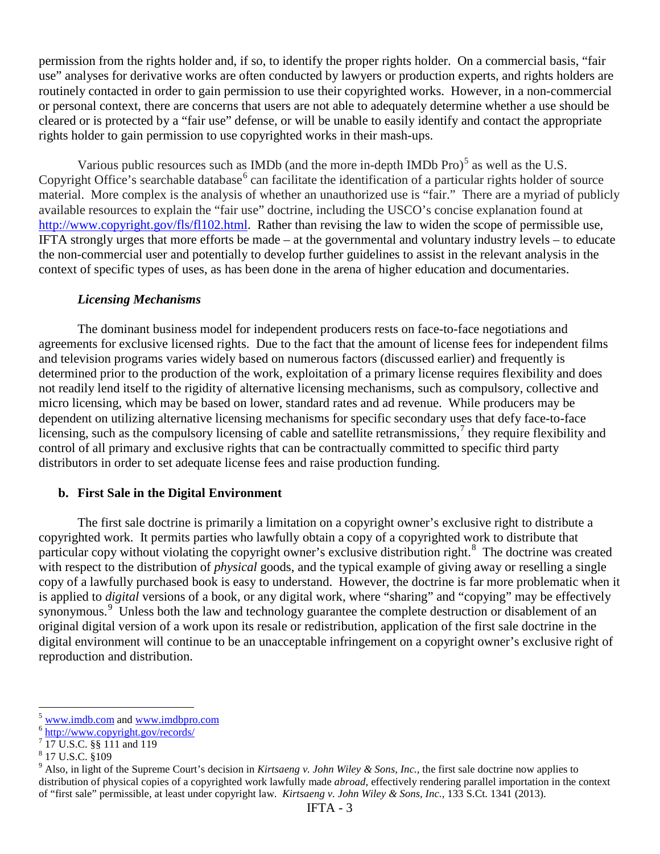permission from the rights holder and, if so, to identify the proper rights holder. On a commercial basis, "fair use" analyses for derivative works are often conducted by lawyers or production experts, and rights holders are routinely contacted in order to gain permission to use their copyrighted works. However, in a non-commercial or personal context, there are concerns that users are not able to adequately determine whether a use should be cleared or is protected by a "fair use" defense, or will be unable to easily identify and contact the appropriate rights holder to gain permission to use copyrighted works in their mash-ups.

Various public resources such as IMDb (and the more in-depth IMDb Pro) $<sup>5</sup>$  $<sup>5</sup>$  $<sup>5</sup>$  as well as the U.S.</sup> Copyright Office's searchable database<sup>[6](#page-2-1)</sup> can facilitate the identification of a particular rights holder of source material. More complex is the analysis of whether an unauthorized use is "fair." There are a myriad of publicly available resources to explain the "fair use" doctrine, including the USCO's concise explanation found at [http://www.copyright.gov/fls/fl102.html.](http://www.copyright.gov/fls/fl102.html) Rather than revising the law to widen the scope of permissible use, IFTA strongly urges that more efforts be made – at the governmental and voluntary industry levels – to educate the non-commercial user and potentially to develop further guidelines to assist in the relevant analysis in the context of specific types of uses, as has been done in the arena of higher education and documentaries.

#### *Licensing Mechanisms*

The dominant business model for independent producers rests on face-to-face negotiations and agreements for exclusive licensed rights. Due to the fact that the amount of license fees for independent films and television programs varies widely based on numerous factors (discussed earlier) and frequently is determined prior to the production of the work, exploitation of a primary license requires flexibility and does not readily lend itself to the rigidity of alternative licensing mechanisms, such as compulsory, collective and micro licensing, which may be based on lower, standard rates and ad revenue. While producers may be dependent on utilizing alternative licensing mechanisms for specific secondary uses that defy face-to-face licensing, such as the compulsory licensing of cable and satellite retransmissions,<sup>[7](#page-2-2)</sup> they require flexibility and control of all primary and exclusive rights that can be contractually committed to specific third party distributors in order to set adequate license fees and raise production funding.

### **b. First Sale in the Digital Environment**

The first sale doctrine is primarily a limitation on a copyright owner's exclusive right to distribute a copyrighted work. It permits parties who lawfully obtain a copy of a copyrighted work to distribute that particular copy without violating the copyright owner's exclusive distribution right.<sup>[8](#page-2-3)</sup> The doctrine was created with respect to the distribution of *physical* goods, and the typical example of giving away or reselling a single copy of a lawfully purchased book is easy to understand. However, the doctrine is far more problematic when it is applied to *digital* versions of a book, or any digital work, where "sharing" and "copying" may be effectively synonymous.<sup>[9](#page-2-4)</sup> Unless both the law and technology guarantee the complete destruction or disablement of an original digital version of a work upon its resale or redistribution, application of the first sale doctrine in the digital environment will continue to be an unacceptable infringement on a copyright owner's exclusive right of reproduction and distribution.

<span id="page-2-0"></span><sup>&</sup>lt;sup>5</sup> [www.imdb.com](http://www.imdb.com/) and [www.imdbpro.com](http://www.imdbpro.com/)<br><sup>6</sup> <http://www.copyright.gov/records/>  $\overline{a}$ 

<span id="page-2-1"></span>

<span id="page-2-2"></span><sup>7</sup> 17 U.S.C. §§ 111 and 119

<span id="page-2-3"></span><sup>8</sup> 17 U.S.C. §109

<span id="page-2-4"></span><sup>9</sup> Also, in light of the Supreme Court's decision in *Kirtsaeng v. John Wiley & Sons, Inc.*, the first sale doctrine now applies to distribution of physical copies of a copyrighted work lawfully made *abroad*, effectively rendering parallel importation in the context of "first sale" permissible, at least under copyright law. *Kirtsaeng v. John Wiley & Sons, Inc.*, 133 S.Ct. 1341 (2013).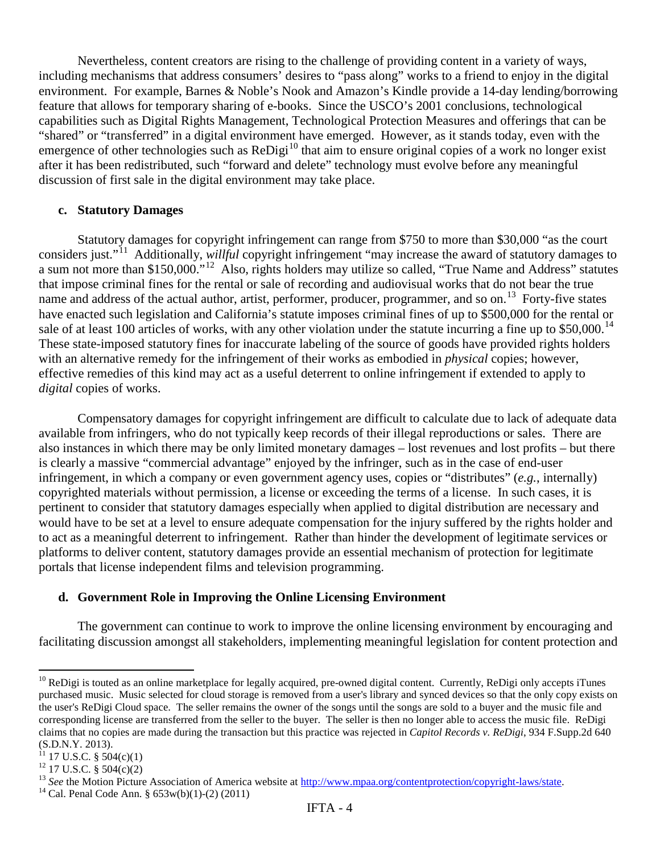Nevertheless, content creators are rising to the challenge of providing content in a variety of ways, including mechanisms that address consumers' desires to "pass along" works to a friend to enjoy in the digital environment. For example, Barnes & Noble's Nook and Amazon's Kindle provide a 14-day lending/borrowing feature that allows for temporary sharing of e-books. Since the USCO's 2001 conclusions, technological capabilities such as Digital Rights Management, Technological Protection Measures and offerings that can be "shared" or "transferred" in a digital environment have emerged. However, as it stands today, even with the emergence of other technologies such as  $\text{ReDigi}^{10}$  $\text{ReDigi}^{10}$  $\text{ReDigi}^{10}$  that aim to ensure original copies of a work no longer exist after it has been redistributed, such "forward and delete" technology must evolve before any meaningful discussion of first sale in the digital environment may take place.

#### **c. Statutory Damages**

Statutory damages for copyright infringement can range from \$750 to more than \$30,000 "as the court considers just."[11](#page-3-1) Additionally, *willful* copyright infringement "may increase the award of statutory damages to a sum not more than \$150,000."[12](#page-3-2) Also, rights holders may utilize so called, "True Name and Address" statutes that impose criminal fines for the rental or sale of recording and audiovisual works that do not bear the true name and address of the actual author, artist, performer, producer, programmer, and so on.<sup>[13](#page-3-3)</sup> Forty-five states have enacted such legislation and California's statute imposes criminal fines of up to \$500,000 for the rental or sale of at least 100 articles of works, with any other violation under the statute incurring a fine up to  $$50,000$ .<sup>14</sup> These state-imposed statutory fines for inaccurate labeling of the source of goods have provided rights holders with an alternative remedy for the infringement of their works as embodied in *physical* copies; however, effective remedies of this kind may act as a useful deterrent to online infringement if extended to apply to *digital* copies of works.

Compensatory damages for copyright infringement are difficult to calculate due to lack of adequate data available from infringers, who do not typically keep records of their illegal reproductions or sales. There are also instances in which there may be only limited monetary damages – lost revenues and lost profits – but there is clearly a massive "commercial advantage" enjoyed by the infringer, such as in the case of end-user infringement, in which a company or even government agency uses, copies or "distributes" (*e.g.*, internally) copyrighted materials without permission, a license or exceeding the terms of a license. In such cases, it is pertinent to consider that statutory damages especially when applied to digital distribution are necessary and would have to be set at a level to ensure adequate compensation for the injury suffered by the rights holder and to act as a meaningful deterrent to infringement. Rather than hinder the development of legitimate services or platforms to deliver content, statutory damages provide an essential mechanism of protection for legitimate portals that license independent films and television programming.

## **d. Government Role in Improving the Online Licensing Environment**

The government can continue to work to improve the online licensing environment by encouraging and facilitating discussion amongst all stakeholders, implementing meaningful legislation for content protection and

 $\overline{a}$ 

<span id="page-3-0"></span> $10$  ReDigi is touted as an online marketplace for legally acquired, pre-owned digital content. Currently, ReDigi only accepts iTunes purchased music. Music selected for cloud storage is removed from a user's library and synced devices so that the only copy exists on the user's ReDigi Cloud space. The seller remains the owner of the songs until the songs are sold to a buyer and the music file and corresponding license are transferred from the seller to the buyer. The seller is then no longer able to access the music file. ReDigi claims that no copies are made during the transaction but this practice was rejected in *Capitol Records v. ReDigi*, 934 F.Supp.2d 640  $(S.D.N.Y. 2013).$ <sup>11</sup> 17 U.S.C. § 504(c)(1)

<span id="page-3-1"></span>

<span id="page-3-3"></span>

<span id="page-3-2"></span><sup>&</sup>lt;sup>12</sup> 17 U.S.C. § 504(c)(2)<br><sup>13</sup> *See* the Motion Picture Association of America website at <u>http://www.mpaa.org/contentprotection/copyright-laws/state</u>. <sup>14</sup> Cal. Penal Code Ann. § 653w(b)(1)-(2) (2011)

<span id="page-3-4"></span>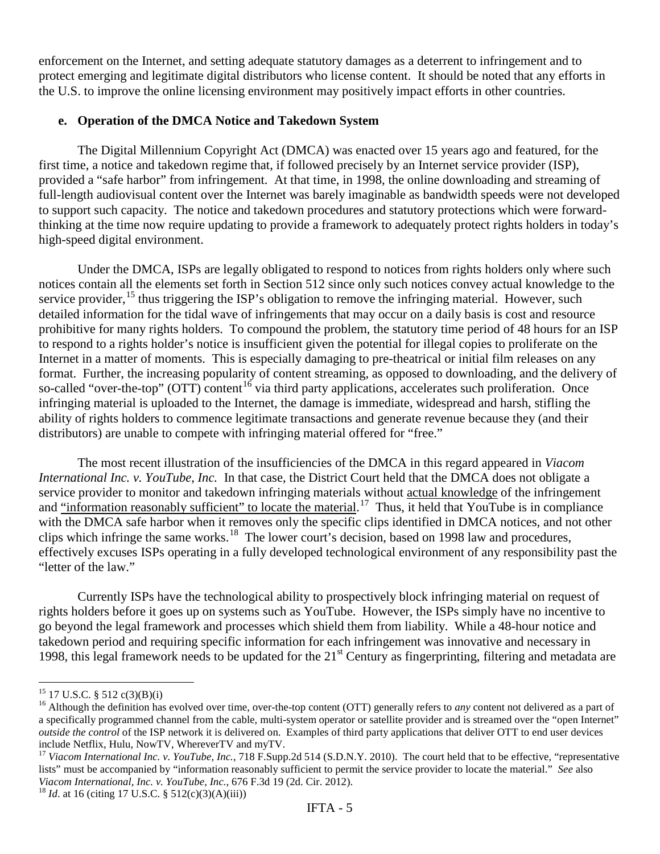enforcement on the Internet, and setting adequate statutory damages as a deterrent to infringement and to protect emerging and legitimate digital distributors who license content. It should be noted that any efforts in the U.S. to improve the online licensing environment may positively impact efforts in other countries.

# **e. Operation of the DMCA Notice and Takedown System**

The Digital Millennium Copyright Act (DMCA) was enacted over 15 years ago and featured, for the first time, a notice and takedown regime that, if followed precisely by an Internet service provider (ISP), provided a "safe harbor" from infringement. At that time, in 1998, the online downloading and streaming of full-length audiovisual content over the Internet was barely imaginable as bandwidth speeds were not developed to support such capacity. The notice and takedown procedures and statutory protections which were forwardthinking at the time now require updating to provide a framework to adequately protect rights holders in today's high-speed digital environment.

Under the DMCA, ISPs are legally obligated to respond to notices from rights holders only where such notices contain all the elements set forth in Section 512 since only such notices convey actual knowledge to the service provider,  $^{15}$  $^{15}$  $^{15}$  thus triggering the ISP's obligation to remove the infringing material. However, such detailed information for the tidal wave of infringements that may occur on a daily basis is cost and resource prohibitive for many rights holders. To compound the problem, the statutory time period of 48 hours for an ISP to respond to a rights holder's notice is insufficient given the potential for illegal copies to proliferate on the Internet in a matter of moments. This is especially damaging to pre-theatrical or initial film releases on any format. Further, the increasing popularity of content streaming, as opposed to downloading, and the delivery of so-called "over-the-top" (OTT) content<sup>[16](#page-4-1)</sup> via third party applications, accelerates such proliferation. Once infringing material is uploaded to the Internet, the damage is immediate, widespread and harsh, stifling the ability of rights holders to commence legitimate transactions and generate revenue because they (and their distributors) are unable to compete with infringing material offered for "free."

The most recent illustration of the insufficiencies of the DMCA in this regard appeared in *Viacom International Inc. v. YouTube, Inc.* In that case, the District Court held that the DMCA does not obligate a service provider to monitor and takedown infringing materials without actual knowledge of the infringement and "information reasonably sufficient" to locate the material.<sup>[17](#page-4-2)</sup> Thus, it held that YouTube is in compliance with the DMCA safe harbor when it removes only the specific clips identified in DMCA notices, and not other clips which infringe the same works.<sup>[18](#page-4-3)</sup> The lower court's decision, based on 1998 law and procedures, effectively excuses ISPs operating in a fully developed technological environment of any responsibility past the "letter of the law."

Currently ISPs have the technological ability to prospectively block infringing material on request of rights holders before it goes up on systems such as YouTube. However, the ISPs simply have no incentive to go beyond the legal framework and processes which shield them from liability. While a 48-hour notice and takedown period and requiring specific information for each infringement was innovative and necessary in 1998, this legal framework needs to be updated for the  $21<sup>st</sup>$  Century as fingerprinting, filtering and metadata are

<span id="page-4-0"></span><sup>&</sup>lt;sup>15</sup> 17 U.S.C. § 512 c(3)(B)(i)

<span id="page-4-1"></span> $^{16}$  Although the definition has evolved over time, over-the-top content (OTT) generally refers to *any* content not delivered as a part of a specifically programmed channel from the cable, multi-system operator or satellite provider and is streamed over the "open Internet" *outside the control* of the ISP network it is delivered on. Examples of third party applications that deliver OTT to end user devices include Netflix, Hulu, NowTV, WhereverTV and myTV.<br><sup>17</sup> Viacom International Inc. v. YouTube, Inc., 718 F.Supp.2d 514 (S.D.N.Y. 2010). The court held that to be effective, "representative

<span id="page-4-2"></span>lists" must be accompanied by "information reasonably sufficient to permit the service provider to locate the material." *See* also *Viacom International, Inc. v. YouTube, Inc.*, 676 F.3d 19 (2d. Cir. 2012). <sup>18</sup> *Id.* at 16 (citing 17 U.S.C. § 512(c)(3)(A)(iii))

<span id="page-4-3"></span>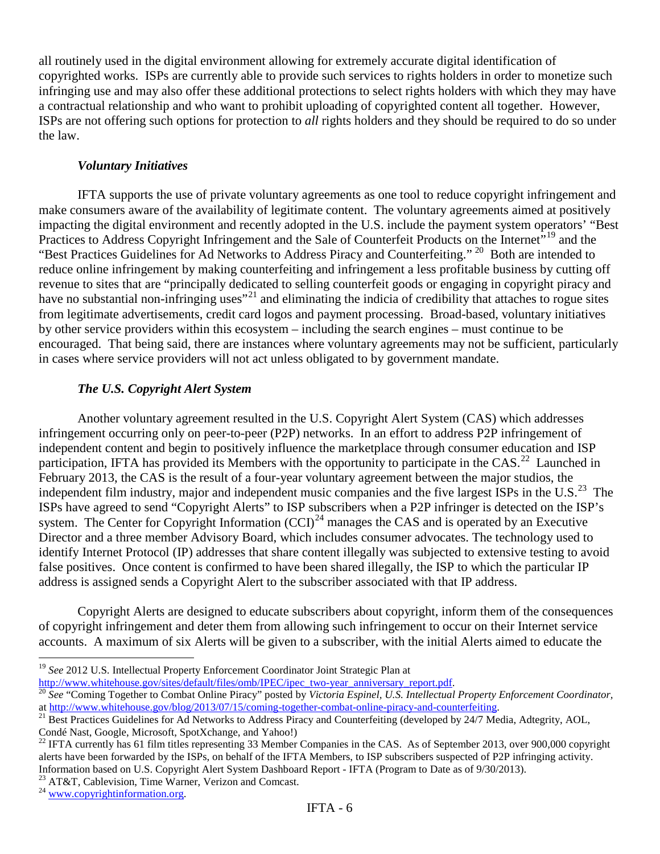all routinely used in the digital environment allowing for extremely accurate digital identification of copyrighted works. ISPs are currently able to provide such services to rights holders in order to monetize such infringing use and may also offer these additional protections to select rights holders with which they may have a contractual relationship and who want to prohibit uploading of copyrighted content all together. However, ISPs are not offering such options for protection to *all* rights holders and they should be required to do so under the law.

## *Voluntary Initiatives*

IFTA supports the use of private voluntary agreements as one tool to reduce copyright infringement and make consumers aware of the availability of legitimate content. The voluntary agreements aimed at positively impacting the digital environment and recently adopted in the U.S. include the payment system operators' "Best Practices to Address Copyright Infringement and the Sale of Counterfeit Products on the Internet<sup>7[19](#page-5-0)</sup> and the "Best Practices Guidelines for Ad Networks to Address Piracy and Counterfeiting." <sup>20</sup> Both are intended to reduce online infringement by making counterfeiting and infringement a less profitable business by cutting off revenue to sites that are "principally dedicated to selling counterfeit goods or engaging in copyright piracy and have no substantial non-infringing uses"<sup>[21](#page-5-2)</sup> and eliminating the indicia of credibility that attaches to rogue sites from legitimate advertisements, credit card logos and payment processing. Broad-based, voluntary initiatives by other service providers within this ecosystem – including the search engines – must continue to be encouraged. That being said, there are instances where voluntary agreements may not be sufficient, particularly in cases where service providers will not act unless obligated to by government mandate.

# *The U.S. Copyright Alert System*

Another voluntary agreement resulted in the U.S. Copyright Alert System (CAS) which addresses infringement occurring only on peer-to-peer (P2P) networks. In an effort to address P2P infringement of independent content and begin to positively influence the marketplace through consumer education and ISP participation, IFTA has provided its Members with the opportunity to participate in the  $CAS$ <sup>[22](#page-5-3)</sup> Launched in February 2013, the CAS is the result of a four-year voluntary agreement between the major studios, the independent film industry, major and independent music companies and the five largest ISPs in the U.S. $^{23}$  $^{23}$  $^{23}$  The ISPs have agreed to send "Copyright Alerts" to ISP subscribers when a P2P infringer is detected on the ISP's system. The Center for Copyright Information  $(CCI)^{24}$  $(CCI)^{24}$  $(CCI)^{24}$  manages the CAS and is operated by an Executive Director and a three member Advisory Board, which includes consumer advocates. The technology used to identify Internet Protocol (IP) addresses that share content illegally was subjected to extensive testing to avoid false positives. Once content is confirmed to have been shared illegally, the ISP to which the particular IP address is assigned sends a Copyright Alert to the subscriber associated with that IP address.

Copyright Alerts are designed to educate subscribers about copyright, inform them of the consequences of copyright infringement and deter them from allowing such infringement to occur on their Internet service accounts. A maximum of six Alerts will be given to a subscriber, with the initial Alerts aimed to educate the

<span id="page-5-4"></span>

<span id="page-5-5"></span>

 $\overline{a}$ 

<span id="page-5-0"></span><sup>&</sup>lt;sup>19</sup> *See* 2012 U.S. Intellectual Property Enforcement Coordinator Joint Strategic Plan at http://www.whitehouse.gov/sites/default/files/omb/IPEC/ipec two-year anniversary report.pdf.

<span id="page-5-1"></span><sup>&</sup>lt;sup>20</sup> See "Coming Together to Combat Online Piracy" posted by Victoria Espinel, U.S. Intellectual Property Enforcement Coordinator, at http://www.whitehouse.gov/blog/2013/07/15/coming-together-combat-online-piracy-and-count

<span id="page-5-2"></span><sup>&</sup>lt;sup>21</sup> Best Practices Guidelines for Ad Networks to Address Piracy and Counterfeiting (developed by 24/7 Media, Adtegrity, AOL, Condé Nast, Google, Microsoft, SpotXchange, and Yahoo!)

<span id="page-5-3"></span> $^{22}$  IFTA currently has 61 film titles representing 33 Member Companies in the CAS. As of September 2013, over 900,000 copyright alerts have been forwarded by the ISPs, on behalf of the IFTA Members, to ISP subscribers suspected of P2P infringing activity. Information based on U.S. Copyright Alert System Dashboard Report - IFTA (Program to Date as of 9/30/2013).<br><sup>23</sup> AT&T, Cablevision, Time Warner, Verizon and Comcast.<br><sup>24</sup> [www.copyrightinformation.org.](http://www.copyrightinformation.org/)